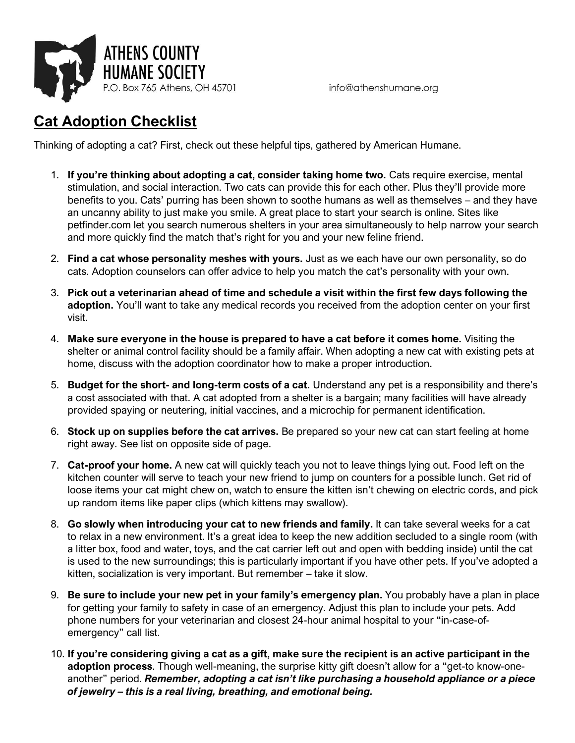

## **Cat Adoption Checklist**

Thinking of adopting a cat? First, check out these helpful tips, gathered by American Humane.

- 1. **If you're thinking about adopting a cat, consider taking home two.** Cats require exercise, mental stimulation, and social interaction. Two cats can provide this for each other. Plus they'll provide more benefits to you. Cats' purring has been shown to soothe humans as well as themselves – and they have an uncanny ability to just make you smile. A great place to start your search is online. Sites like petfinder.com let you search numerous shelters in your area simultaneously to help narrow your search and more quickly find the match that's right for you and your new feline friend.
- 2. **Find a cat whose personality meshes with yours.** Just as we each have our own personality, so do cats. Adoption counselors can offer advice to help you match the cat's personality with your own.
- 3. **Pick out a veterinarian ahead of time and schedule a visit within the first few days following the**  adoption. You'll want to take any medical records you received from the adoption center on your first visit.
- 4. **Make sure everyone in the house is prepared to have a cat before it comes home.** Visiting the shelter or animal control facility should be a family affair. When adopting a new cat with existing pets at home, discuss with the adoption coordinator how to make a proper introduction.
- 5. **Budget for the short- and long-term costs of a cat.** Understand any pet is a responsibility and there's a cost associated with that. A cat adopted from a shelter is a bargain; many facilities will have already provided spaying or neutering, initial vaccines, and a microchip for permanent identification.
- 6. **Stock up on supplies before the cat arrives.** Be prepared so your new cat can start feeling at home right away. See list on opposite side of page.
- 7. **Cat-proof your home.** A new cat will quickly teach you not to leave things lying out. Food left on the kitchen counter will serve to teach your new friend to jump on counters for a possible lunch. Get rid of loose items your cat might chew on, watch to ensure the kitten isn't chewing on electric cords, and pick up random items like paper clips (which kittens may swallow).
- 8. **Go slowly when introducing your cat to new friends and family.** It can take several weeks for a cat to relax in a new environment. It's a great idea to keep the new addition secluded to a single room (with a litter box, food and water, toys, and the cat carrier left out and open with bedding inside) until the cat is used to the new surroundings; this is particularly important if you have other pets. If you've adopted a kitten, socialization is very important. But remember – take it slow.
- 9. **Be sure to include your new pet in your family's emergency plan.** You probably have a plan in place for getting your family to safety in case of an emergency. Adjust this plan to include your pets. Add phone numbers for your veterinarian and closest 24-hour animal hospital to your "in-case-ofemergency" call list.
- 10. **If you're considering giving a cat as a gift, make sure the recipient is an active participant in the adoption process**. Though well-meaning, the surprise kitty gift doesn't allow for a "get-to know-oneanother" period. *Remember, adopting a cat isn't like purchasing a household appliance or a piece of jewelry – this is a real living, breathing, and emotional being.*